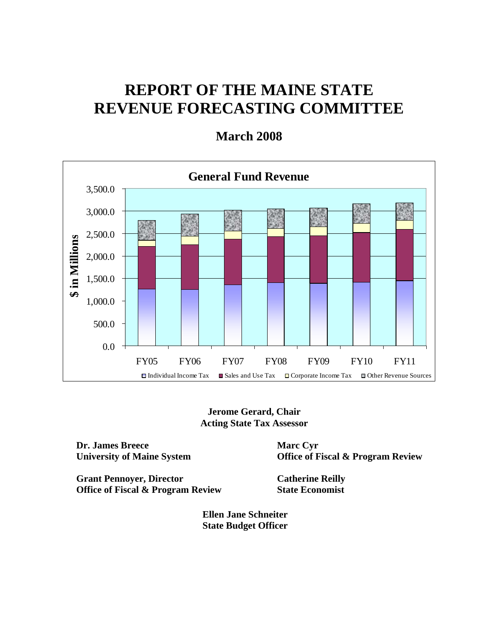# **REPORT OF THE MAINE STATE REVENUE FORECASTING COMMITTEE**



**March 2008** 

**Jerome Gerard, Chair Acting State Tax Assessor** 

**Dr. James Breece University of Maine System** 

**Office of Fiscal & Program Review** 

**Grant Pennoyer, Director Office of Fiscal & Program Review**  **Catherine Reilly State Economist** 

**Marc Cyr** 

**Ellen Jane Schneiter State Budget Officer**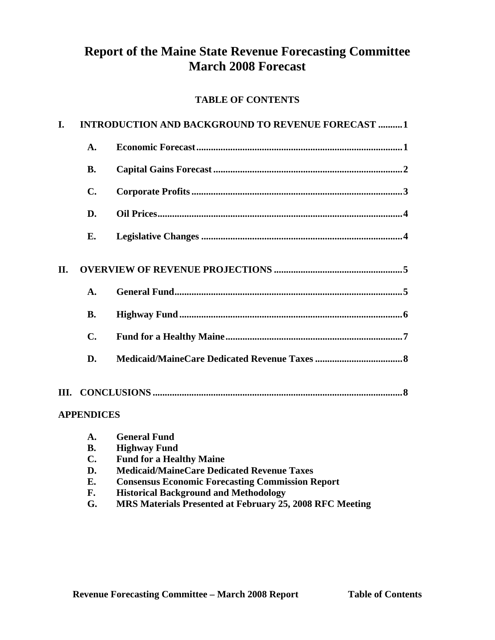# **Report of the Maine State Revenue Forecasting Committee March 2008 Forecast**

## **TABLE OF CONTENTS**

| L.  |                   | <b>INTRODUCTION AND BACKGROUND TO REVENUE FORECAST 1</b> |  |  |  |  |
|-----|-------------------|----------------------------------------------------------|--|--|--|--|
|     | A.                |                                                          |  |  |  |  |
|     | <b>B.</b>         |                                                          |  |  |  |  |
|     | C.                |                                                          |  |  |  |  |
|     | D.                |                                                          |  |  |  |  |
|     | Е.                |                                                          |  |  |  |  |
| II. |                   |                                                          |  |  |  |  |
|     | A.                |                                                          |  |  |  |  |
|     | <b>B.</b>         |                                                          |  |  |  |  |
|     | $\mathbf{C}$ .    |                                                          |  |  |  |  |
|     | D.                |                                                          |  |  |  |  |
|     |                   |                                                          |  |  |  |  |
|     | <b>APPENDICES</b> |                                                          |  |  |  |  |
|     |                   | <b>A.</b> General Fund                                   |  |  |  |  |

| л.             | UUNLAI TUNU                                              |
|----------------|----------------------------------------------------------|
| <b>B.</b>      | <b>Highway Fund</b>                                      |
| $\mathbf{C}$ . | <b>Fund for a Healthy Maine</b>                          |
| D.             | <b>Medicaid/MaineCare Dedicated Revenue Taxes</b>        |
| Е.             | <b>Consensus Economic Forecasting Commission Report</b>  |
| F.             | <b>Historical Background and Methodology</b>             |
| G.             | MRS Materials Presented at February 25, 2008 RFC Meeting |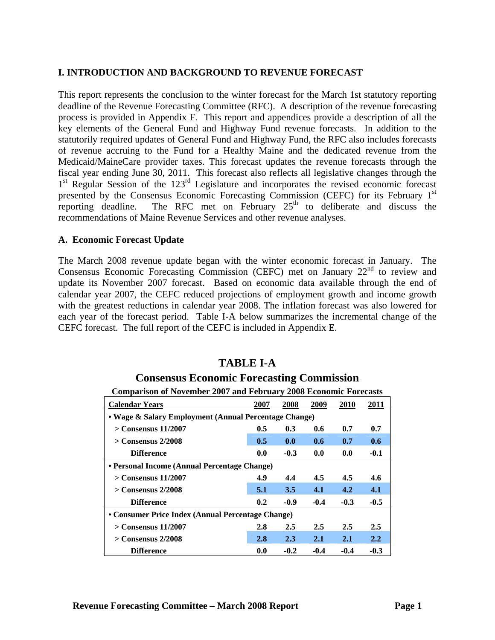#### **I. INTRODUCTION AND BACKGROUND TO REVENUE FORECAST**

This report represents the conclusion to the winter forecast for the March 1st statutory reporting deadline of the Revenue Forecasting Committee (RFC). A description of the revenue forecasting process is provided in Appendix F. This report and appendices provide a description of all the key elements of the General Fund and Highway Fund revenue forecasts. In addition to the statutorily required updates of General Fund and Highway Fund, the RFC also includes forecasts of revenue accruing to the Fund for a Healthy Maine and the dedicated revenue from the Medicaid/MaineCare provider taxes. This forecast updates the revenue forecasts through the fiscal year ending June 30, 2011. This forecast also reflects all legislative changes through the <sup>1st</sup> Regular Session of the 123<sup>rd</sup> Legislature and incorporates the revised economic forecast presented by the Consensus Economic Forecasting Commission (CEFC) for its February 1<sup>st</sup> reporting deadline. The RFC met on February  $25<sup>th</sup>$  to deliberate and discuss the recommendations of Maine Revenue Services and other revenue analyses.

#### **A. Economic Forecast Update**

The March 2008 revenue update began with the winter economic forecast in January. The Consensus Economic Forecasting Commission (CEFC) met on January  $22<sup>nd</sup>$  to review and update its November 2007 forecast. Based on economic data available through the end of calendar year 2007, the CEFC reduced projections of employment growth and income growth with the greatest reductions in calendar year 2008. The inflation forecast was also lowered for each year of the forecast period. Table I-A below summarizes the incremental change of the CEFC forecast. The full report of the CEFC is included in Appendix E.

# **TABLE I-A**

#### **Consensus Economic Forecasting Commission**

#### **Comparison of November 2007 and February 2008 Economic Forecasts**

| <b>Calendar Years</b>                                 | 2007 | 2008   | 2009   | <b>2010</b> | 2011          |  |  |  |
|-------------------------------------------------------|------|--------|--------|-------------|---------------|--|--|--|
| • Wage & Salary Employment (Annual Percentage Change) |      |        |        |             |               |  |  |  |
| > Consensus 11/2007                                   | 0.5  | 0.3    | 0.6    | 0.7         | 0.7           |  |  |  |
| $>$ Consensus 2/2008                                  | 0.5  | 0.0    | 0.6    | 0.7         | 0.6           |  |  |  |
| <b>Difference</b>                                     | 0.0  | $-0.3$ | 0.0    | 0.0         | $-0.1$        |  |  |  |
| • Personal Income (Annual Percentage Change)          |      |        |        |             |               |  |  |  |
| $>$ Consensus 11/2007                                 | 4.9  | 4.4    | 4.5    | 4.5         | 4.6           |  |  |  |
| $>$ Consensus 2/2008                                  | 5.1  | 3.5    | 4.1    | 4.2         | 4.1           |  |  |  |
| <b>Difference</b>                                     | 0.2  | $-0.9$ | $-0.4$ | $-0.3$      | $-0.5$        |  |  |  |
| • Consumer Price Index (Annual Percentage Change)     |      |        |        |             |               |  |  |  |
| $>$ Consensus 11/2007                                 | 2.8  | 2.5    | 2.5    | 2.5         | 2.5           |  |  |  |
| $>$ Consensus 2/2008                                  | 2.8  | 2.3    | 2.1    | 2.1         | $2.2^{\circ}$ |  |  |  |
| <b>Difference</b>                                     | 0.0  | $-0.2$ | $-0.4$ | $-0.4$      | $-0.3$        |  |  |  |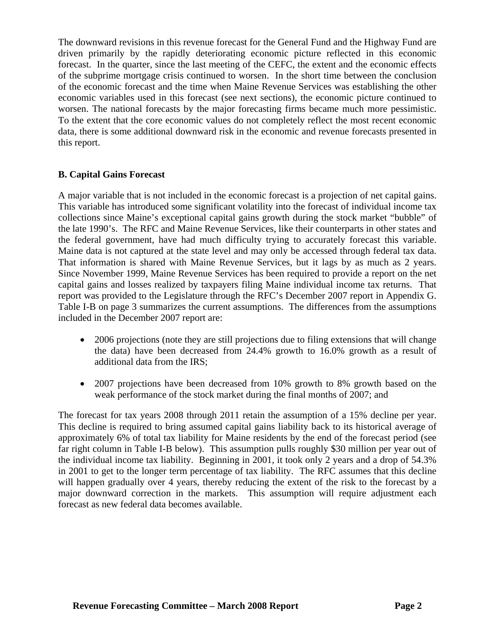The downward revisions in this revenue forecast for the General Fund and the Highway Fund are driven primarily by the rapidly deteriorating economic picture reflected in this economic forecast. In the quarter, since the last meeting of the CEFC, the extent and the economic effects of the subprime mortgage crisis continued to worsen. In the short time between the conclusion of the economic forecast and the time when Maine Revenue Services was establishing the other economic variables used in this forecast (see next sections), the economic picture continued to worsen. The national forecasts by the major forecasting firms became much more pessimistic. To the extent that the core economic values do not completely reflect the most recent economic data, there is some additional downward risk in the economic and revenue forecasts presented in this report.

#### **B. Capital Gains Forecast**

A major variable that is not included in the economic forecast is a projection of net capital gains. This variable has introduced some significant volatility into the forecast of individual income tax collections since Maine's exceptional capital gains growth during the stock market "bubble" of the late 1990's. The RFC and Maine Revenue Services, like their counterparts in other states and the federal government, have had much difficulty trying to accurately forecast this variable. Maine data is not captured at the state level and may only be accessed through federal tax data. That information is shared with Maine Revenue Services, but it lags by as much as 2 years. Since November 1999, Maine Revenue Services has been required to provide a report on the net capital gains and losses realized by taxpayers filing Maine individual income tax returns. That report was provided to the Legislature through the RFC's December 2007 report in Appendix G. Table I-B on page 3 summarizes the current assumptions. The differences from the assumptions included in the December 2007 report are:

- 2006 projections (note they are still projections due to filing extensions that will change the data) have been decreased from 24.4% growth to 16.0% growth as a result of additional data from the IRS;
- 2007 projections have been decreased from 10% growth to 8% growth based on the weak performance of the stock market during the final months of 2007; and

The forecast for tax years 2008 through 2011 retain the assumption of a 15% decline per year. This decline is required to bring assumed capital gains liability back to its historical average of approximately 6% of total tax liability for Maine residents by the end of the forecast period (see far right column in Table I-B below). This assumption pulls roughly \$30 million per year out of the individual income tax liability. Beginning in 2001, it took only 2 years and a drop of 54.3% in 2001 to get to the longer term percentage of tax liability. The RFC assumes that this decline will happen gradually over 4 years, thereby reducing the extent of the risk to the forecast by a major downward correction in the markets. This assumption will require adjustment each forecast as new federal data becomes available.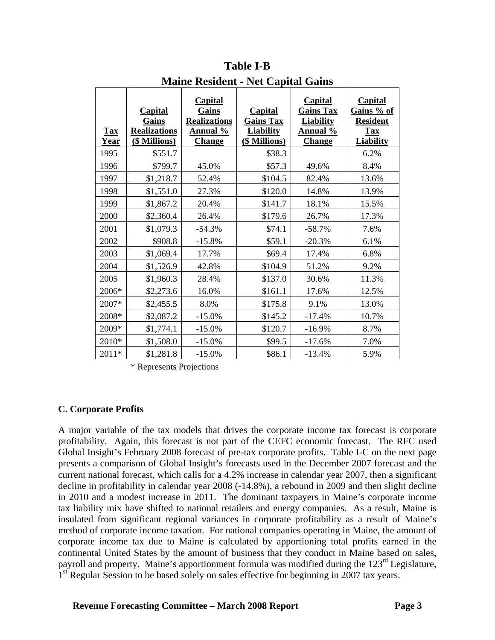| <b>Tax</b><br><b>Year</b> | <b>Capital</b><br>Gains<br><b>Realizations</b><br>(\$ Millions) | <b>Capital</b><br><b>Gains</b><br><b>Realizations</b><br><b>Annual</b> %<br><b>Change</b> | <b>Capital</b><br><b>Gains Tax</b><br><b>Liability</b><br>(\$ Millions) | <b>Capital</b><br><b>Gains Tax</b><br><b>Liability</b><br><b>Annual</b> %<br><b>Change</b> | <b>Capital</b><br>Gains % of<br><b>Resident</b><br><b>Tax</b><br><b>Liability</b> |
|---------------------------|-----------------------------------------------------------------|-------------------------------------------------------------------------------------------|-------------------------------------------------------------------------|--------------------------------------------------------------------------------------------|-----------------------------------------------------------------------------------|
| 1995                      | \$551.7                                                         |                                                                                           | \$38.3                                                                  |                                                                                            | 6.2%                                                                              |
| 1996                      | \$799.7                                                         | 45.0%                                                                                     | \$57.3                                                                  | 49.6%                                                                                      | 8.4%                                                                              |
| 1997                      | \$1,218.7                                                       | 52.4%                                                                                     | \$104.5                                                                 | 82.4%                                                                                      | 13.6%                                                                             |
| 1998                      | \$1,551.0                                                       | 27.3%                                                                                     | \$120.0                                                                 | 14.8%                                                                                      | 13.9%                                                                             |
| 1999                      | \$1,867.2                                                       | 20.4%                                                                                     | \$141.7                                                                 | 18.1%                                                                                      | 15.5%                                                                             |
| 2000                      | \$2,360.4                                                       | 26.4%                                                                                     | \$179.6                                                                 | 26.7%                                                                                      | 17.3%                                                                             |
| 2001                      | \$1,079.3                                                       | $-54.3%$                                                                                  | \$74.1                                                                  | $-58.7%$                                                                                   | 7.6%                                                                              |
| 2002                      | \$908.8                                                         | $-15.8%$                                                                                  | \$59.1                                                                  | $-20.3%$                                                                                   | 6.1%                                                                              |
| 2003                      | \$1,069.4                                                       | 17.7%                                                                                     | \$69.4                                                                  | 17.4%                                                                                      | 6.8%                                                                              |
| 2004                      | \$1,526.9                                                       | 42.8%                                                                                     | \$104.9                                                                 | 51.2%                                                                                      | 9.2%                                                                              |
| 2005                      | \$1,960.3                                                       | 28.4%                                                                                     | \$137.0                                                                 | 30.6%                                                                                      | 11.3%                                                                             |
| 2006*                     | \$2,273.6                                                       | 16.0%                                                                                     | \$161.1                                                                 | 17.6%                                                                                      | 12.5%                                                                             |
| 2007*                     | \$2,455.5                                                       | 8.0%                                                                                      | \$175.8                                                                 | 9.1%                                                                                       | 13.0%                                                                             |
| 2008*                     | \$2,087.2                                                       | $-15.0%$                                                                                  | \$145.2                                                                 | $-17.4%$                                                                                   | 10.7%                                                                             |
| 2009*                     | \$1,774.1                                                       | $-15.0%$                                                                                  | \$120.7                                                                 | $-16.9%$                                                                                   | 8.7%                                                                              |
| 2010*                     | \$1,508.0                                                       | $-15.0%$                                                                                  | \$99.5                                                                  | $-17.6%$                                                                                   | 7.0%                                                                              |
| 2011*                     | \$1,281.8                                                       | $-15.0%$                                                                                  | \$86.1                                                                  | $-13.4%$                                                                                   | 5.9%                                                                              |

**Table I-B Maine Resident - Net Capital Gains** 

\* Represents Projections

#### **C. Corporate Profits**

A major variable of the tax models that drives the corporate income tax forecast is corporate profitability. Again, this forecast is not part of the CEFC economic forecast. The RFC used Global Insight's February 2008 forecast of pre-tax corporate profits. Table I-C on the next page presents a comparison of Global Insight's forecasts used in the December 2007 forecast and the current national forecast, which calls for a 4.2% increase in calendar year 2007, then a significant decline in profitability in calendar year 2008 (-14.8%), a rebound in 2009 and then slight decline in 2010 and a modest increase in 2011. The dominant taxpayers in Maine's corporate income tax liability mix have shifted to national retailers and energy companies. As a result, Maine is insulated from significant regional variances in corporate profitability as a result of Maine's method of corporate income taxation. For national companies operating in Maine, the amount of corporate income tax due to Maine is calculated by apportioning total profits earned in the continental United States by the amount of business that they conduct in Maine based on sales, payroll and property. Maine's apportionment formula was modified during the 123<sup>rd</sup> Legislature, 1<sup>st</sup> Regular Session to be based solely on sales effective for beginning in 2007 tax years.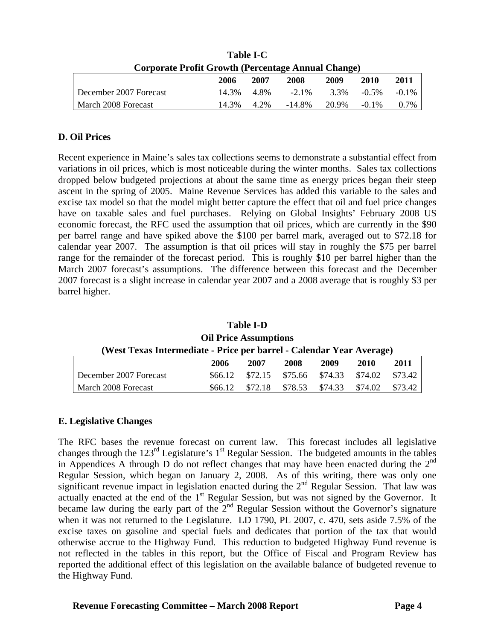| *********                                                 |       |      |          |       |          |          |  |  |
|-----------------------------------------------------------|-------|------|----------|-------|----------|----------|--|--|
| <b>Corporate Profit Growth (Percentage Annual Change)</b> |       |      |          |       |          |          |  |  |
|                                                           | 2006  | 2007 | 2008     | 2009  | 2010     | 2011     |  |  |
| December 2007 Forecast                                    | 14.3% | 4.8% | $-2.1\%$ | 3.3%  | $-0.5\%$ | $-0.1\%$ |  |  |
| March 2008 Forecast                                       | 14.3% | 4.2% | -14.8%   | 20.9% | $-0.1\%$ | $0.7\%$  |  |  |

**Table I-C** 

#### **D. Oil Prices**

Recent experience in Maine's sales tax collections seems to demonstrate a substantial effect from variations in oil prices, which is most noticeable during the winter months. Sales tax collections dropped below budgeted projections at about the same time as energy prices began their steep ascent in the spring of 2005. Maine Revenue Services has added this variable to the sales and excise tax model so that the model might better capture the effect that oil and fuel price changes have on taxable sales and fuel purchases. Relying on Global Insights' February 2008 US economic forecast, the RFC used the assumption that oil prices, which are currently in the \$90 per barrel range and have spiked above the \$100 per barrel mark, averaged out to \$72.18 for calendar year 2007. The assumption is that oil prices will stay in roughly the \$75 per barrel range for the remainder of the forecast period. This is roughly \$10 per barrel higher than the March 2007 forecast's assumptions. The difference between this forecast and the December 2007 forecast is a slight increase in calendar year 2007 and a 2008 average that is roughly \$3 per barrel higher.

**Table I-D Oil Price Assumptions (West Texas Intermediate - Price per barrel - Calendar Year Average) 2006 2007 2008 2009 2010 2011**  December 2007 Forecast \$66.12 \$72.15 \$75.66 \$74.33 \$74.02 \$73.42 March 2008 Forecast \$66.12 \$72.18 \$78.53 \$74.33 \$74.02 \$73.42

#### **E. Legislative Changes**

The RFC bases the revenue forecast on current law. This forecast includes all legislative changes through the  $123<sup>rd</sup>$  Legislature's 1<sup>st</sup> Regular Session. The budgeted amounts in the tables in Appendices A through D do not reflect changes that may have been enacted during the  $2<sup>nd</sup>$ Regular Session, which began on January 2, 2008. As of this writing, there was only one significant revenue impact in legislation enacted during the  $2<sup>nd</sup>$  Regular Session. That law was actually enacted at the end of the 1<sup>st</sup> Regular Session, but was not signed by the Governor. It became law during the early part of the  $2<sup>nd</sup>$  Regular Session without the Governor's signature when it was not returned to the Legislature. LD 1790, PL 2007, c. 470, sets aside 7.5% of the excise taxes on gasoline and special fuels and dedicates that portion of the tax that would otherwise accrue to the Highway Fund. This reduction to budgeted Highway Fund revenue is not reflected in the tables in this report, but the Office of Fiscal and Program Review has reported the additional effect of this legislation on the available balance of budgeted revenue to the Highway Fund.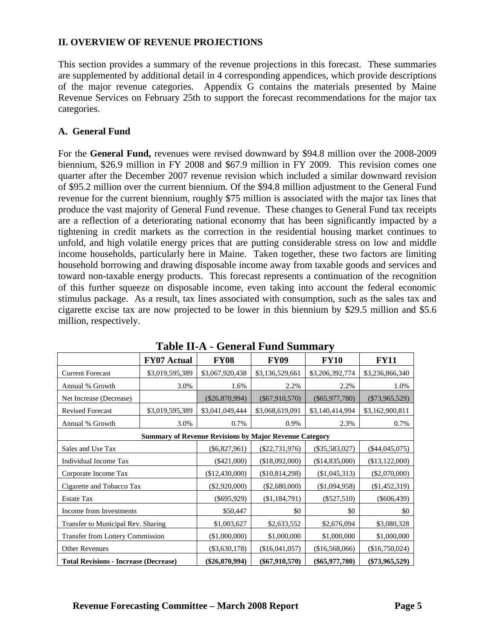#### **II. OVERVIEW OF REVENUE PROJECTIONS**

This section provides a summary of the revenue projections in this forecast. These summaries are supplemented by additional detail in 4 corresponding appendices, which provide descriptions of the major revenue categories. Appendix G contains the materials presented by Maine Revenue Services on February 25th to support the forecast recommendations for the major tax categories.

#### **A. General Fund**

For the **General Fund,** revenues were revised downward by \$94.8 million over the 2008-2009 biennium, \$26.9 million in FY 2008 and \$67.9 million in FY 2009. This revision comes one quarter after the December 2007 revenue revision which included a similar downward revision of \$95.2 million over the current biennium. Of the \$94.8 million adjustment to the General Fund revenue for the current biennium, roughly \$75 million is associated with the major tax lines that produce the vast majority of General Fund revenue. These changes to General Fund tax receipts are a reflection of a deteriorating national economy that has been significantly impacted by a tightening in credit markets as the correction in the residential housing market continues to unfold, and high volatile energy prices that are putting considerable stress on low and middle income households, particularly here in Maine. Taken together, these two factors are limiting household borrowing and drawing disposable income away from taxable goods and services and toward non-taxable energy products. This forecast represents a continuation of the recognition of this further squeeze on disposable income, even taking into account the federal economic stimulus package. As a result, tax lines associated with consumption, such as the sales tax and cigarette excise tax are now projected to be lower in this biennium by \$29.5 million and \$5.6 million, respectively.

|                                              | <b>FY07 Actual</b>                                            | <b>FY08</b>      | <b>FY09</b>      | <b>FY10</b>      | <b>FY11</b>      |
|----------------------------------------------|---------------------------------------------------------------|------------------|------------------|------------------|------------------|
| <b>Current Forecast</b>                      | \$3,019,595,389                                               | \$3,067,920,438  | \$3,136,529,661  | \$3,206,392,774  | \$3,236,866,340  |
| Annual % Growth                              | 3.0%                                                          | 1.6%             | 2.2%             | 2.2%             | 1.0%             |
| Net Increase (Decrease)                      |                                                               | $(\$26,870,994)$ | $(\$67,910,570)$ | $(\$65,977,780)$ | $(\$73,965,529)$ |
| <b>Revised Forecast</b>                      | \$3,019,595,389                                               | \$3,041,049,444  | \$3,068,619,091  | \$3,140,414,994  | \$3,162,900,811  |
| Annual % Growth                              | 3.0%                                                          | 0.7%             | 0.9%             | 2.3%             | 0.7%             |
|                                              | <b>Summary of Revenue Revisions by Major Revenue Category</b> |                  |                  |                  |                  |
| Sales and Use Tax                            |                                                               | $(\$6,827,961)$  | $(\$22,731,976)$ | $(\$35,583,027)$ | $(\$44,045,075)$ |
| Individual Income Tax                        |                                                               | $(\$421,000)$    | (\$18,092,000)   | (\$14,835,000)   | (\$13,122,000)   |
| Corporate Income Tax                         |                                                               | (\$12,430,000)   | (\$10,814,298)   | $(\$1,045,313)$  | $(\$2,070,000)$  |
| Cigarette and Tobacco Tax                    |                                                               | $(\$2,920,000)$  | $(\$2,680,000)$  | (\$1,094,958)    | $(\$1,452,319)$  |
| <b>Estate Tax</b>                            |                                                               | $(\$695,929)$    | (\$1,184,791)    | $(\$527,510)$    | $(\$606,439)$    |
| Income from Investments                      | \$50,447                                                      | \$0              | \$0              | \$0              |                  |
| Transfer to Municipal Rev. Sharing           |                                                               | \$1,003,627      | \$2,633,552      | \$2,676,094      | \$3,080,328      |
| <b>Transfer from Lottery Commission</b>      |                                                               | (\$1,000,000)    | \$1,000,000      | \$1,000,000      | \$1,000,000      |
| Other Revenues                               | $(\$3,630,178)$                                               | (\$16,041,057)   | (\$16,568,066)   | (\$16,750,024)   |                  |
| <b>Total Revisions - Increase (Decrease)</b> | $(\$26,870,994)$                                              | $(\$67,910,570)$ | $(\$65,977,780)$ | $(\$73,965,529)$ |                  |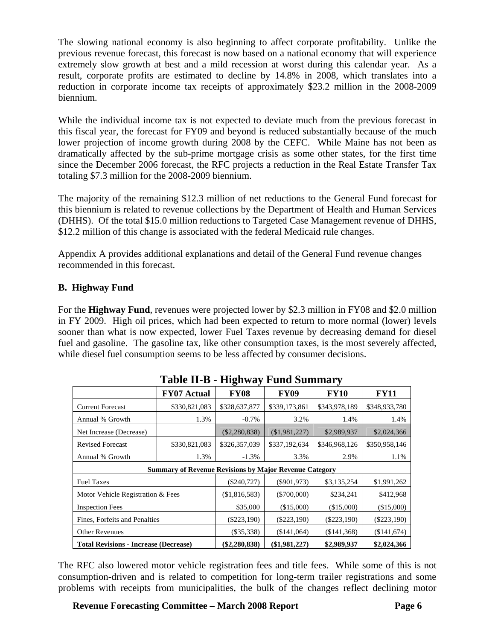The slowing national economy is also beginning to affect corporate profitability. Unlike the previous revenue forecast, this forecast is now based on a national economy that will experience extremely slow growth at best and a mild recession at worst during this calendar year. As a result, corporate profits are estimated to decline by 14.8% in 2008, which translates into a reduction in corporate income tax receipts of approximately \$23.2 million in the 2008-2009 biennium.

While the individual income tax is not expected to deviate much from the previous forecast in this fiscal year, the forecast for FY09 and beyond is reduced substantially because of the much lower projection of income growth during 2008 by the CEFC. While Maine has not been as dramatically affected by the sub-prime mortgage crisis as some other states, for the first time since the December 2006 forecast, the RFC projects a reduction in the Real Estate Transfer Tax totaling \$7.3 million for the 2008-2009 biennium.

The majority of the remaining \$12.3 million of net reductions to the General Fund forecast for this biennium is related to revenue collections by the Department of Health and Human Services (DHHS). Of the total \$15.0 million reductions to Targeted Case Management revenue of DHHS, \$12.2 million of this change is associated with the federal Medicaid rule changes.

Appendix A provides additional explanations and detail of the General Fund revenue changes recommended in this forecast.

## **B. Highway Fund**

For the **Highway Fund**, revenues were projected lower by \$2.3 million in FY08 and \$2.0 million in FY 2009. High oil prices, which had been expected to return to more normal (lower) levels sooner than what is now expected, lower Fuel Taxes revenue by decreasing demand for diesel fuel and gasoline. The gasoline tax, like other consumption taxes, is the most severely affected, while diesel fuel consumption seems to be less affected by consumer decisions.

| Table II-D - Thghway Fund Summary            |                                                               |                 |               |               |               |  |  |
|----------------------------------------------|---------------------------------------------------------------|-----------------|---------------|---------------|---------------|--|--|
|                                              | <b>FY07 Actual</b>                                            | <b>FY08</b>     | <b>FY09</b>   | <b>FY10</b>   | <b>FY11</b>   |  |  |
| <b>Current Forecast</b>                      | \$330,821,083                                                 | \$328,637,877   | \$339,173,861 | \$343,978,189 | \$348,933,780 |  |  |
| Annual % Growth                              | 1.3%                                                          | $-0.7\%$        | 3.2%          | 1.4%          | 1.4%          |  |  |
| Net Increase (Decrease)                      |                                                               | $(\$2,280,838)$ | (\$1,981,227) | \$2,989,937   | \$2,024,366   |  |  |
| <b>Revised Forecast</b>                      | \$330,821,083                                                 | \$326,357,039   | \$337,192,634 | \$346,968,126 | \$350,958,146 |  |  |
| Annual % Growth                              | 1.3%                                                          | $-1.3\%$        | 3.3%          | 2.9%          | 1.1%          |  |  |
|                                              | <b>Summary of Revenue Revisions by Major Revenue Category</b> |                 |               |               |               |  |  |
| <b>Fuel Taxes</b>                            | $(\$240,727)$                                                 | $(\$901,973)$   | \$3,135,254   | \$1,991,262   |               |  |  |
| Motor Vehicle Registration & Fees            |                                                               | (\$1,816,583)   | $(\$700,000)$ | \$234,241     | \$412,968     |  |  |
| <b>Inspection Fees</b>                       | \$35,000                                                      | (\$15,000)      | (\$15,000)    | (\$15,000)    |               |  |  |
| Fines, Forfeits and Penalties                | $(\$223,190)$                                                 | $(\$223,190)$   | $(\$223,190)$ | $(\$223,190)$ |               |  |  |
| <b>Other Revenues</b>                        | $(\$35,338)$                                                  | (\$141,064)     | (\$141,368)   | (\$141,674)   |               |  |  |
| <b>Total Revisions - Increase (Decrease)</b> |                                                               | $(\$2,280,838)$ | (\$1,981,227) | \$2,989,937   | \$2,024,366   |  |  |

**Table II-B - Highway Fund Summary** 

The RFC also lowered motor vehicle registration fees and title fees. While some of this is not consumption-driven and is related to competition for long-term trailer registrations and some problems with receipts from municipalities, the bulk of the changes reflect declining motor

**Revenue Forecasting Committee – March 2008 Report Page 6**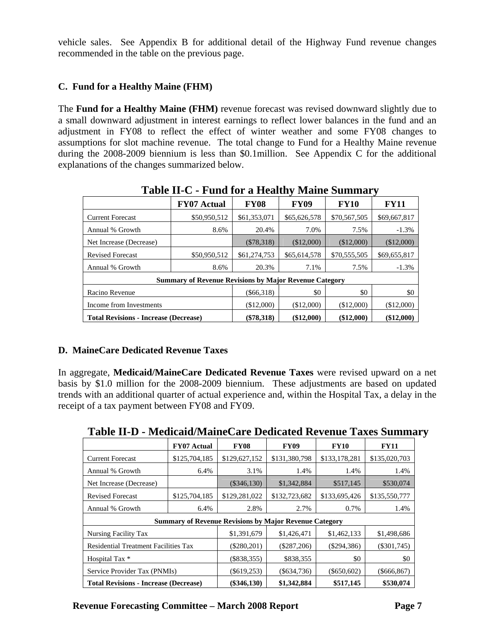vehicle sales. See Appendix B for additional detail of the Highway Fund revenue changes recommended in the table on the previous page.

# **C. Fund for a Healthy Maine (FHM)**

The **Fund for a Healthy Maine (FHM)** revenue forecast was revised downward slightly due to a small downward adjustment in interest earnings to reflect lower balances in the fund and an adjustment in FY08 to reflect the effect of winter weather and some FY08 changes to assumptions for slot machine revenue. The total change to Fund for a Healthy Maine revenue during the 2008-2009 biennium is less than \$0.1million. See Appendix C for the additional explanations of the changes summarized below.

|                                                               |                    |              | ັ            |              |              |  |  |
|---------------------------------------------------------------|--------------------|--------------|--------------|--------------|--------------|--|--|
|                                                               | <b>FY07 Actual</b> | <b>FY08</b>  | <b>FY09</b>  | <b>FY10</b>  | <b>FY11</b>  |  |  |
| <b>Current Forecast</b>                                       | \$50,950,512       | \$61,353,071 | \$65,626,578 | \$70,567,505 | \$69,667,817 |  |  |
| Annual % Growth                                               | 8.6%               | 20.4%        | 7.0%         | 7.5%         | $-1.3%$      |  |  |
| Net Increase (Decrease)                                       |                    | (\$78,318)   | (\$12,000)   | (\$12,000)   | (\$12,000)   |  |  |
| <b>Revised Forecast</b>                                       | \$50,950,512       | \$61,274,753 | \$65,614,578 | \$70,555,505 | \$69,655,817 |  |  |
| Annual % Growth                                               | 8.6%               | 20.3%        | 7.1%         | 7.5%         | $-1.3%$      |  |  |
| <b>Summary of Revenue Revisions by Major Revenue Category</b> |                    |              |              |              |              |  |  |
| Racino Revenue                                                | $(\$66,318)$       | \$0          | \$0          | \$0          |              |  |  |
| Income from Investments                                       | (\$12,000)         | (\$12,000)   | (\$12,000)   | (\$12,000)   |              |  |  |
| <b>Total Revisions - Increase (Decrease)</b>                  | $(\$78,318)$       | (\$12,000)   | (\$12,000)   | (\$12,000)   |              |  |  |

**Table II-C - Fund for a Healthy Maine Summary** 

# **D. MaineCare Dedicated Revenue Taxes**

In aggregate, **Medicaid/MaineCare Dedicated Revenue Taxes** were revised upward on a net basis by \$1.0 million for the 2008-2009 biennium. These adjustments are based on updated trends with an additional quarter of actual experience and, within the Hospital Tax, a delay in the receipt of a tax payment between FY08 and FY09.

|                                                               | <b>FY07 Actual</b> | <b>FY08</b>   | <b>FY09</b>   | <b>FY10</b>   | <b>FY11</b>    |  |  |
|---------------------------------------------------------------|--------------------|---------------|---------------|---------------|----------------|--|--|
| <b>Current Forecast</b>                                       | \$125,704,185      | \$129,627,152 | \$131,380,798 | \$133,178,281 | \$135,020,703  |  |  |
| Annual % Growth                                               | 6.4%               | 3.1%          | 1.4%          | 1.4%          | 1.4%           |  |  |
| Net Increase (Decrease)                                       |                    | $(\$346,130)$ | \$1,342,884   | \$517,145     | \$530,074      |  |  |
| <b>Revised Forecast</b>                                       | \$125,704,185      | \$129,281,022 | \$132,723,682 | \$133,695,426 | \$135,550,777  |  |  |
| Annual % Growth                                               | 6.4%               | 2.8%          | 2.7%          | 0.7%          | 1.4%           |  |  |
| <b>Summary of Revenue Revisions by Major Revenue Category</b> |                    |               |               |               |                |  |  |
| Nursing Facility Tax                                          | \$1,391,679        | \$1,426,471   | \$1,462,133   | \$1,498,686   |                |  |  |
| <b>Residential Treatment Facilities Tax</b>                   | $(\$280,201)$      | $(\$287,206)$ | $(\$294,386)$ | $(\$301,745)$ |                |  |  |
| Hospital Tax *                                                | $($ \$838,355)     | \$838,355     | \$0           | \$0           |                |  |  |
| Service Provider Tax (PNMIs)                                  |                    | $(\$619,253)$ | $(\$634,736)$ | $(\$650,602)$ | $(\$666, 867)$ |  |  |
| <b>Total Revisions - Increase (Decrease)</b>                  |                    | $(\$346.130)$ | \$1,342,884   | \$517,145     | \$530,074      |  |  |

**Table II-D - Medicaid/MaineCare Dedicated Revenue Taxes Summary**